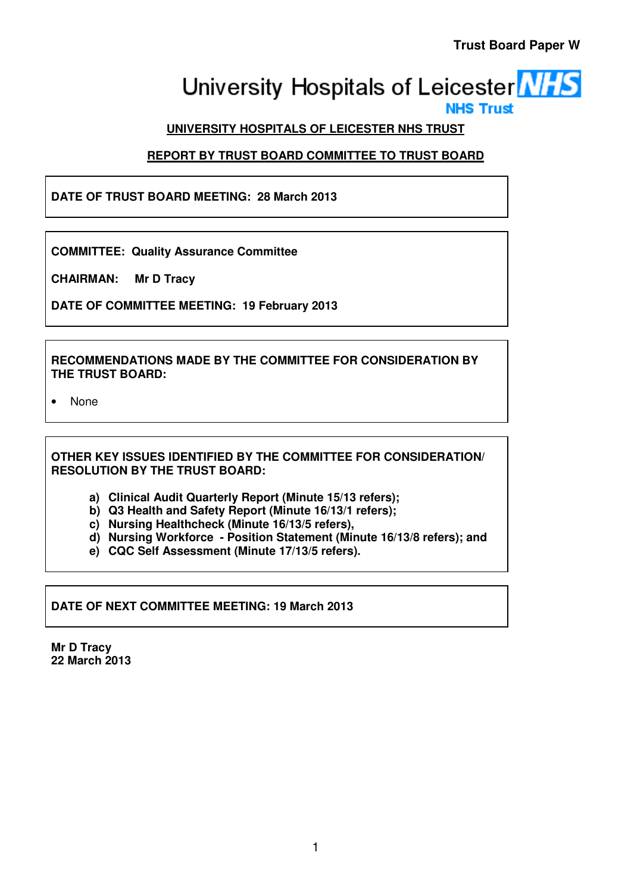# University Hospitals of Leicester **NHS NHS Trust**

# **UNIVERSITY HOSPITALS OF LEICESTER NHS TRUST**

# **REPORT BY TRUST BOARD COMMITTEE TO TRUST BOARD**

**DATE OF TRUST BOARD MEETING: 28 March 2013** 

**COMMITTEE: Quality Assurance Committee** 

**CHAIRMAN: Mr D Tracy** 

**DATE OF COMMITTEE MEETING: 19 February 2013** 

**RECOMMENDATIONS MADE BY THE COMMITTEE FOR CONSIDERATION BY THE TRUST BOARD:** 

• None

**OTHER KEY ISSUES IDENTIFIED BY THE COMMITTEE FOR CONSIDERATION/ RESOLUTION BY THE TRUST BOARD:** 

- **a) Clinical Audit Quarterly Report (Minute 15/13 refers);**
- **b) Q3 Health and Safety Report (Minute 16/13/1 refers);**
- **c) Nursing Healthcheck (Minute 16/13/5 refers),**
- **d) Nursing Workforce Position Statement (Minute 16/13/8 refers); and**
- **e) CQC Self Assessment (Minute 17/13/5 refers).**

**DATE OF NEXT COMMITTEE MEETING: 19 March 2013** 

**Mr D Tracy 22 March 2013**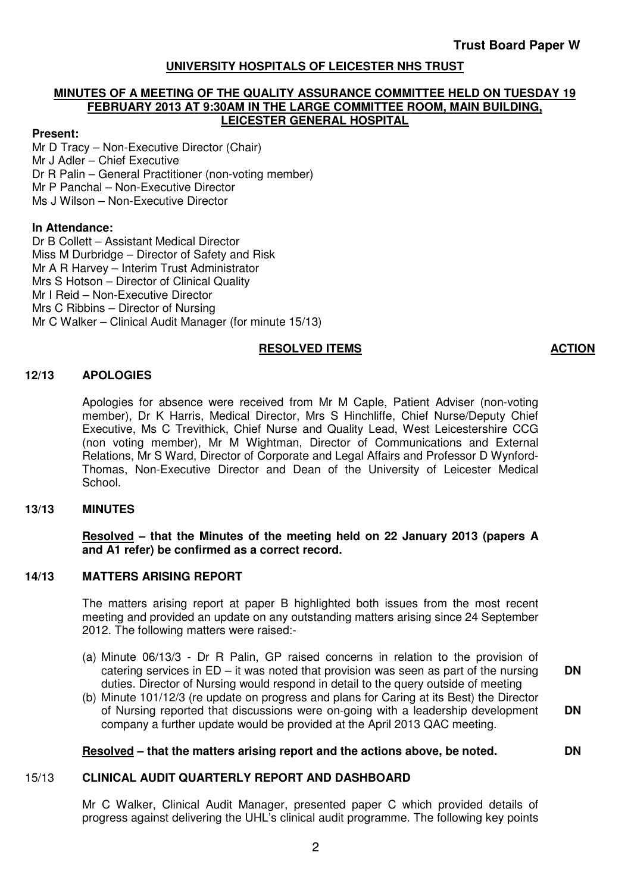# **UNIVERSITY HOSPITALS OF LEICESTER NHS TRUST**

# **MINUTES OF A MEETING OF THE QUALITY ASSURANCE COMMITTEE HELD ON TUESDAY 19 FEBRUARY 2013 AT 9:30AM IN THE LARGE COMMITTEE ROOM, MAIN BUILDING, LEICESTER GENERAL HOSPITAL**

# **Present:**

Mr D Tracy – Non-Executive Director (Chair) Mr J Adler – Chief Executive Dr R Palin – General Practitioner (non-voting member) Mr P Panchal – Non-Executive Director Ms J Wilson – Non-Executive Director

# **In Attendance:**

Dr B Collett – Assistant Medical Director Miss M Durbridge – Director of Safety and Risk Mr A R Harvey – Interim Trust Administrator Mrs S Hotson – Director of Clinical Quality Mr I Reid – Non-Executive Director Mrs C Ribbins – Director of Nursing Mr C Walker – Clinical Audit Manager (for minute 15/13)

# **RESOLVED ITEMS ACTION**

# **12/13 APOLOGIES**

Apologies for absence were received from Mr M Caple, Patient Adviser (non-voting member), Dr K Harris, Medical Director, Mrs S Hinchliffe, Chief Nurse/Deputy Chief Executive, Ms C Trevithick, Chief Nurse and Quality Lead, West Leicestershire CCG (non voting member), Mr M Wightman, Director of Communications and External Relations, Mr S Ward, Director of Corporate and Legal Affairs and Professor D Wynford-Thomas, Non-Executive Director and Dean of the University of Leicester Medical School.

# **13/13 MINUTES**

# **Resolved – that the Minutes of the meeting held on 22 January 2013 (papers A and A1 refer) be confirmed as a correct record.**

# **14/13 MATTERS ARISING REPORT**

 The matters arising report at paper B highlighted both issues from the most recent meeting and provided an update on any outstanding matters arising since 24 September 2012. The following matters were raised:-

- (a) Minute 06/13/3 Dr R Palin, GP raised concerns in relation to the provision of catering services in  $ED - it$  was noted that provision was seen as part of the nursing duties. Director of Nursing would respond in detail to the query outside of meeting **DN**
- (b) Minute 101/12/3 (re update on progress and plans for Caring at its Best) the Director of Nursing reported that discussions were on-going with a leadership development company a further update would be provided at the April 2013 QAC meeting. **DN**

# **Resolved – that the matters arising report and the actions above, be noted. DN**

# 15/13 **CLINICAL AUDIT QUARTERLY REPORT AND DASHBOARD**

Mr C Walker, Clinical Audit Manager, presented paper C which provided details of progress against delivering the UHL's clinical audit programme. The following key points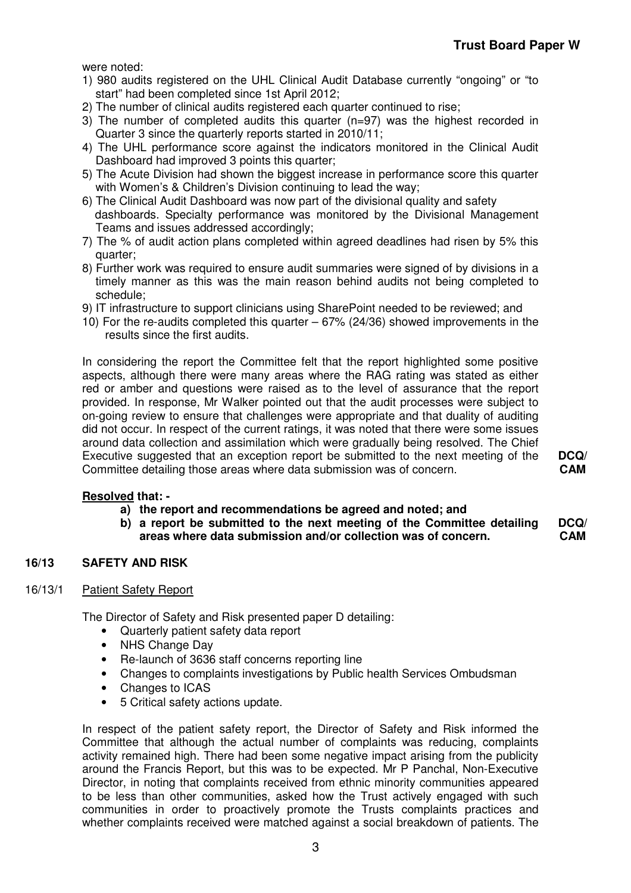were noted:

- 1) 980 audits registered on the UHL Clinical Audit Database currently "ongoing" or "to start" had been completed since 1st April 2012;
- 2) The number of clinical audits registered each quarter continued to rise;
- 3) The number of completed audits this quarter (n=97) was the highest recorded in Quarter 3 since the quarterly reports started in 2010/11;
- 4) The UHL performance score against the indicators monitored in the Clinical Audit Dashboard had improved 3 points this quarter;
- 5) The Acute Division had shown the biggest increase in performance score this quarter with Women's & Children's Division continuing to lead the way;
- 6) The Clinical Audit Dashboard was now part of the divisional quality and safety dashboards. Specialty performance was monitored by the Divisional Management Teams and issues addressed accordingly;
- 7) The % of audit action plans completed within agreed deadlines had risen by 5% this quarter;
- 8) Further work was required to ensure audit summaries were signed of by divisions in a timely manner as this was the main reason behind audits not being completed to schedule;
- 9) IT infrastructure to support clinicians using SharePoint needed to be reviewed; and
- 10) For the re-audits completed this quarter 67% (24/36) showed improvements in the results since the first audits.

 In considering the report the Committee felt that the report highlighted some positive aspects, although there were many areas where the RAG rating was stated as either red or amber and questions were raised as to the level of assurance that the report provided. In response, Mr Walker pointed out that the audit processes were subject to on-going review to ensure that challenges were appropriate and that duality of auditing did not occur. In respect of the current ratings, it was noted that there were some issues around data collection and assimilation which were gradually being resolved. The Chief Executive suggested that an exception report be submitted to the next meeting of the Committee detailing those areas where data submission was of concern.

# **Resolved that: -**

- **a) the report and recommendations be agreed and noted; and**
- **b) a report be submitted to the next meeting of the Committee detailing areas where data submission and/or collection was of concern. DCQ/ CAM**

# **16/13 SAFETY AND RISK**

# 16/13/1 Patient Safety Report

The Director of Safety and Risk presented paper D detailing:

- Quarterly patient safety data report
- NHS Change Dav
- Re-launch of 3636 staff concerns reporting line
- Changes to complaints investigations by Public health Services Ombudsman
- Changes to ICAS
- 5 Critical safety actions update.

 In respect of the patient safety report, the Director of Safety and Risk informed the Committee that although the actual number of complaints was reducing, complaints activity remained high. There had been some negative impact arising from the publicity around the Francis Report, but this was to be expected. Mr P Panchal, Non-Executive Director, in noting that complaints received from ethnic minority communities appeared to be less than other communities, asked how the Trust actively engaged with such communities in order to proactively promote the Trusts complaints practices and whether complaints received were matched against a social breakdown of patients. The

**DCQ/ CAM**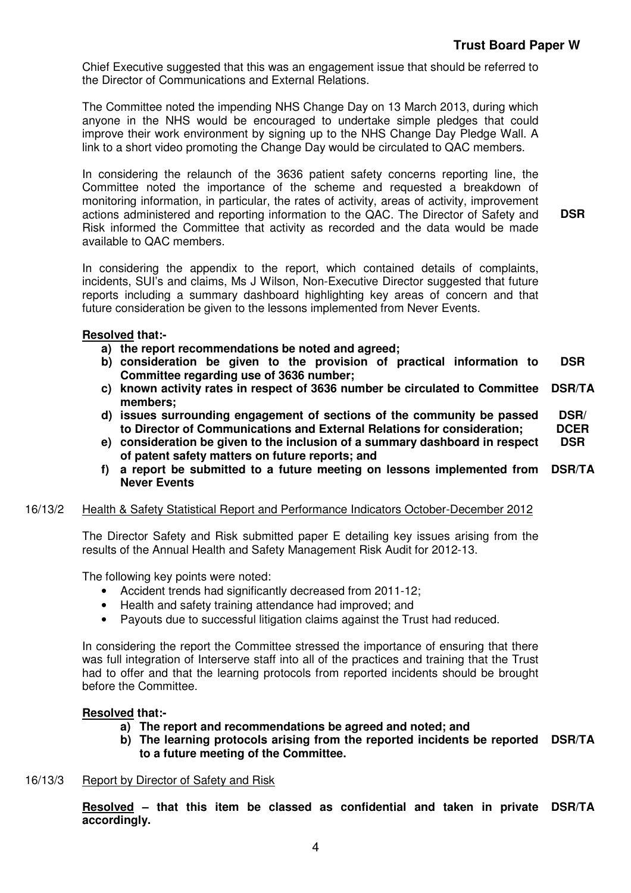Chief Executive suggested that this was an engagement issue that should be referred to the Director of Communications and External Relations.

The Committee noted the impending NHS Change Day on 13 March 2013, during which anyone in the NHS would be encouraged to undertake simple pledges that could improve their work environment by signing up to the NHS Change Day Pledge Wall. A link to a short video promoting the Change Day would be circulated to QAC members.

 In considering the relaunch of the 3636 patient safety concerns reporting line, the Committee noted the importance of the scheme and requested a breakdown of monitoring information, in particular, the rates of activity, areas of activity, improvement actions administered and reporting information to the QAC. The Director of Safety and Risk informed the Committee that activity as recorded and the data would be made available to QAC members. **DSR** 

 In considering the appendix to the report, which contained details of complaints, incidents, SUI's and claims, Ms J Wilson, Non-Executive Director suggested that future reports including a summary dashboard highlighting key areas of concern and that future consideration be given to the lessons implemented from Never Events.

# **Resolved that:-**

- **a) the report recommendations be noted and agreed;**
- **b) consideration be given to the provision of practical information to Committee regarding use of 3636 number; DSR**
- **c) known activity rates in respect of 3636 number be circulated to Committee members; DSR/TA**
- **d) issues surrounding engagement of sections of the community be passed to Director of Communications and External Relations for consideration; DSR/ DCER**
- **e) consideration be given to the inclusion of a summary dashboard in respect of patent safety matters on future reports; and DSR**
- **f) a report be submitted to a future meeting on lessons implemented from DSR/TA Never Events**

# 16/13/2 Health & Safety Statistical Report and Performance Indicators October-December 2012

 The Director Safety and Risk submitted paper E detailing key issues arising from the results of the Annual Health and Safety Management Risk Audit for 2012-13.

The following key points were noted:

- Accident trends had significantly decreased from 2011-12;
- Health and safety training attendance had improved; and
- Payouts due to successful litigation claims against the Trust had reduced.

 In considering the report the Committee stressed the importance of ensuring that there was full integration of Interserve staff into all of the practices and training that the Trust had to offer and that the learning protocols from reported incidents should be brought before the Committee.

# **Resolved that:-**

- **a) The report and recommendations be agreed and noted; and**
- **b) The learning protocols arising from the reported incidents be reported DSR/TA to a future meeting of the Committee.**
- 16/13/3 Report by Director of Safety and Risk

**Resolved – that this item be classed as confidential and taken in private DSR/TAaccordingly.**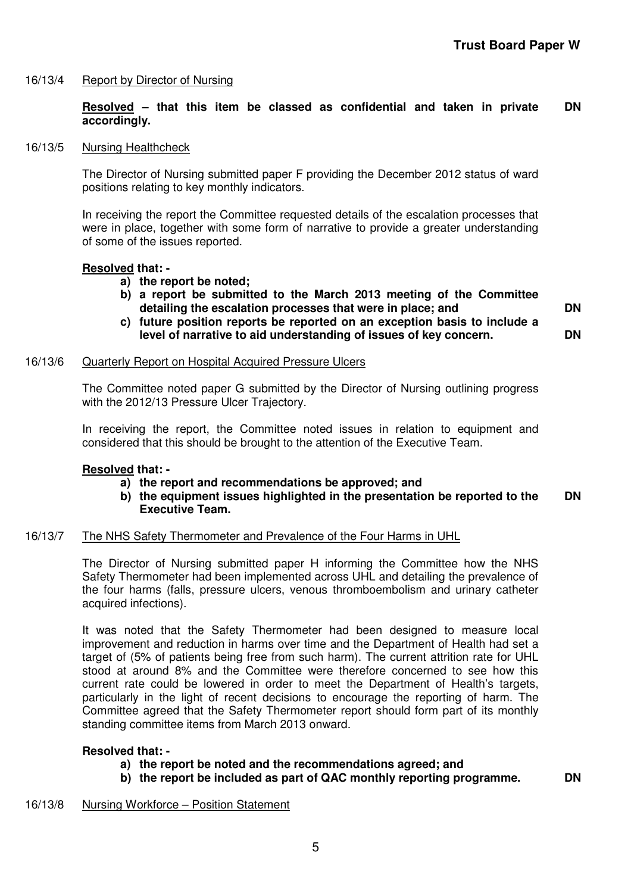# 16/13/4 Report by Director of Nursing

## **Resolved – that this item be classed as confidential and taken in private accordingly. DN**

# 16/13/5 Nursing Healthcheck

 The Director of Nursing submitted paper F providing the December 2012 status of ward positions relating to key monthly indicators.

In receiving the report the Committee requested details of the escalation processes that were in place, together with some form of narrative to provide a greater understanding of some of the issues reported.

# **Resolved that: -**

- **a) the report be noted;**
- **b) a report be submitted to the March 2013 meeting of the Committee detailing the escalation processes that were in place; and**
- **c) future position reports be reported on an exception basis to include a level of narrative to aid understanding of issues of key concern.**

# 16/13/6 Quarterly Report on Hospital Acquired Pressure Ulcers

 The Committee noted paper G submitted by the Director of Nursing outlining progress with the 2012/13 Pressure Ulcer Trajectory.

In receiving the report, the Committee noted issues in relation to equipment and considered that this should be brought to the attention of the Executive Team.

# **Resolved that: -**

- **a) the report and recommendations be approved; and**
- **b) the equipment issues highlighted in the presentation be reported to the Executive Team. DN**

## 16/13/7 The NHS Safety Thermometer and Prevalence of the Four Harms in UHL

 The Director of Nursing submitted paper H informing the Committee how the NHS Safety Thermometer had been implemented across UHL and detailing the prevalence of the four harms (falls, pressure ulcers, venous thromboembolism and urinary catheter acquired infections).

 It was noted that the Safety Thermometer had been designed to measure local improvement and reduction in harms over time and the Department of Health had set a target of (5% of patients being free from such harm). The current attrition rate for UHL stood at around 8% and the Committee were therefore concerned to see how this current rate could be lowered in order to meet the Department of Health's targets, particularly in the light of recent decisions to encourage the reporting of harm. The Committee agreed that the Safety Thermometer report should form part of its monthly standing committee items from March 2013 onward.

# **Resolved that: -**

- **a) the report be noted and the recommendations agreed; and**
- **b) the report be included as part of QAC monthly reporting programme. DN**

**DN** 

**DN** 

# 16/13/8 Nursing Workforce – Position Statement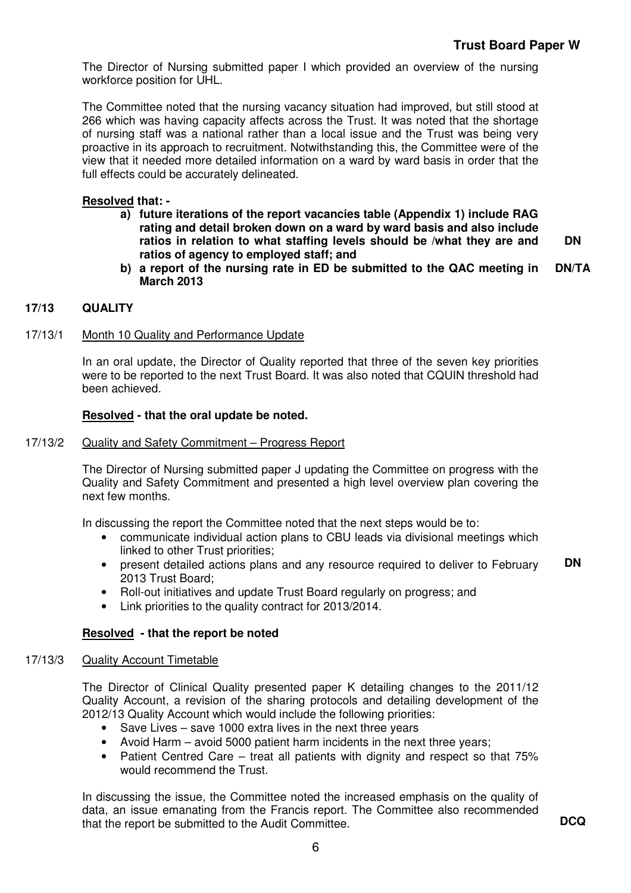The Director of Nursing submitted paper I which provided an overview of the nursing workforce position for UHL.

The Committee noted that the nursing vacancy situation had improved, but still stood at 266 which was having capacity affects across the Trust. It was noted that the shortage of nursing staff was a national rather than a local issue and the Trust was being very proactive in its approach to recruitment. Notwithstanding this, the Committee were of the view that it needed more detailed information on a ward by ward basis in order that the full effects could be accurately delineated.

# **Resolved that: -**

- **a) future iterations of the report vacancies table (Appendix 1) include RAG rating and detail broken down on a ward by ward basis and also include ratios in relation to what staffing levels should be /what they are and ratios of agency to employed staff; and DN**
- **b) a report of the nursing rate in ED be submitted to the QAC meeting in March 2013 DN/TA**

# **17/13 QUALITY**

# 17/13/1 Month 10 Quality and Performance Update

 In an oral update, the Director of Quality reported that three of the seven key priorities were to be reported to the next Trust Board. It was also noted that CQUIN threshold had been achieved.

# **Resolved - that the oral update be noted.**

# 17/13/2 Quality and Safety Commitment – Progress Report

The Director of Nursing submitted paper J updating the Committee on progress with the Quality and Safety Commitment and presented a high level overview plan covering the next few months.

In discussing the report the Committee noted that the next steps would be to:

- communicate individual action plans to CBU leads via divisional meetings which linked to other Trust priorities;
- present detailed actions plans and any resource required to deliver to February 2013 Trust Board; **DN**
- Roll-out initiatives and update Trust Board regularly on progress; and
- Link priorities to the quality contract for 2013/2014.

# **Resolved - that the report be noted**

# 17/13/3 Quality Account Timetable

 The Director of Clinical Quality presented paper K detailing changes to the 2011/12 Quality Account, a revision of the sharing protocols and detailing development of the 2012/13 Quality Account which would include the following priorities:

- Save Lives save 1000 extra lives in the next three years
- Avoid Harm avoid 5000 patient harm incidents in the next three years;
- Patient Centred Care treat all patients with dignity and respect so that 75% would recommend the Trust.

In discussing the issue, the Committee noted the increased emphasis on the quality of data, an issue emanating from the Francis report. The Committee also recommended that the report be submitted to the Audit Committee. **DCQ**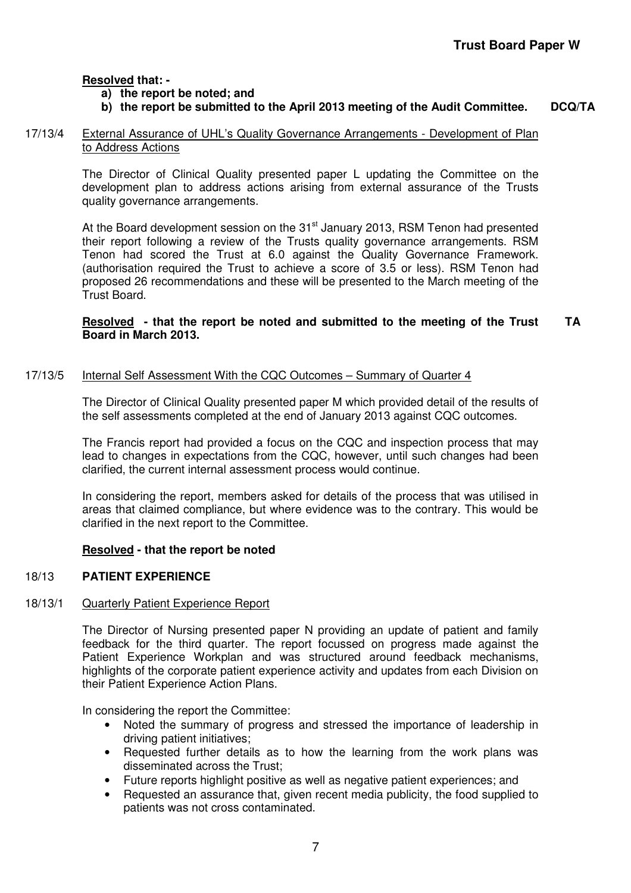# **Resolved that: -**

# **a) the report be noted; and**

# **b) the report be submitted to the April 2013 meeting of the Audit Committee. DCQ/TA**

# 17/13/4 External Assurance of UHL's Quality Governance Arrangements - Development of Plan to Address Actions

The Director of Clinical Quality presented paper L updating the Committee on the development plan to address actions arising from external assurance of the Trusts quality governance arrangements.

At the Board development session on the 31<sup>st</sup> January 2013, RSM Tenon had presented their report following a review of the Trusts quality governance arrangements. RSM Tenon had scored the Trust at 6.0 against the Quality Governance Framework. (authorisation required the Trust to achieve a score of 3.5 or less). RSM Tenon had proposed 26 recommendations and these will be presented to the March meeting of the Trust Board.

## **Resolved - that the report be noted and submitted to the meeting of the Trust Board in March 2013. TA**

# 17/13/5 Internal Self Assessment With the CQC Outcomes – Summary of Quarter 4

 The Director of Clinical Quality presented paper M which provided detail of the results of the self assessments completed at the end of January 2013 against CQC outcomes.

 The Francis report had provided a focus on the CQC and inspection process that may lead to changes in expectations from the CQC, however, until such changes had been clarified, the current internal assessment process would continue.

In considering the report, members asked for details of the process that was utilised in areas that claimed compliance, but where evidence was to the contrary. This would be clarified in the next report to the Committee.

# **Resolved - that the report be noted**

# 18/13 **PATIENT EXPERIENCE**

# 18/13/1 Quarterly Patient Experience Report

 The Director of Nursing presented paper N providing an update of patient and family feedback for the third quarter. The report focussed on progress made against the Patient Experience Workplan and was structured around feedback mechanisms, highlights of the corporate patient experience activity and updates from each Division on their Patient Experience Action Plans.

In considering the report the Committee:

- Noted the summary of progress and stressed the importance of leadership in driving patient initiatives;
- Requested further details as to how the learning from the work plans was disseminated across the Trust:
- Future reports highlight positive as well as negative patient experiences; and
- Requested an assurance that, given recent media publicity, the food supplied to patients was not cross contaminated.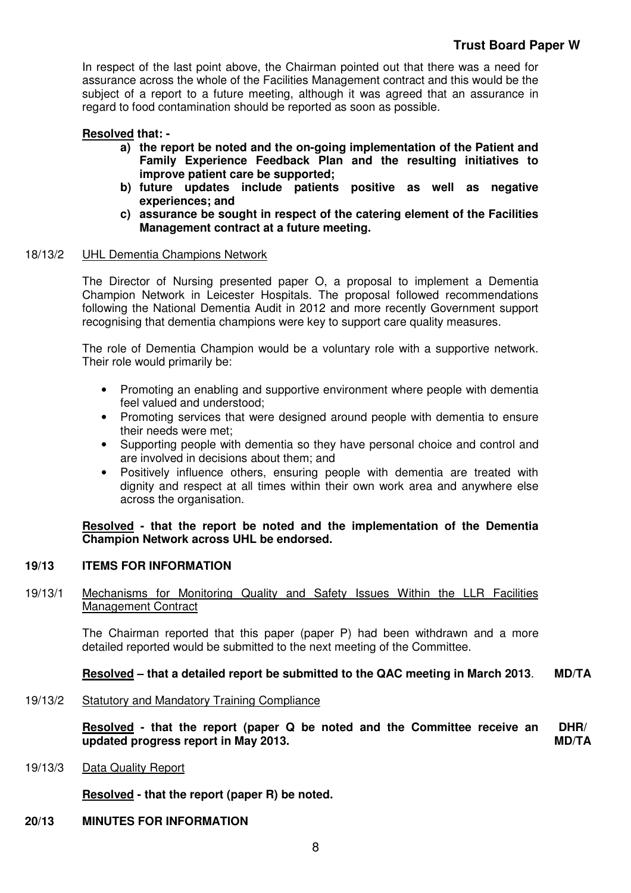In respect of the last point above, the Chairman pointed out that there was a need for assurance across the whole of the Facilities Management contract and this would be the subject of a report to a future meeting, although it was agreed that an assurance in regard to food contamination should be reported as soon as possible.

# **Resolved that: -**

- **a) the report be noted and the on-going implementation of the Patient and Family Experience Feedback Plan and the resulting initiatives to improve patient care be supported;**
- **b) future updates include patients positive as well as negative experiences; and**
- **c) assurance be sought in respect of the catering element of the Facilities Management contract at a future meeting.**

# 18/13/2 UHL Dementia Champions Network

 The Director of Nursing presented paper O, a proposal to implement a Dementia Champion Network in Leicester Hospitals. The proposal followed recommendations following the National Dementia Audit in 2012 and more recently Government support recognising that dementia champions were key to support care quality measures.

The role of Dementia Champion would be a voluntary role with a supportive network. Their role would primarily be:

- Promoting an enabling and supportive environment where people with dementia feel valued and understood;
- Promoting services that were designed around people with dementia to ensure their needs were met;
- Supporting people with dementia so they have personal choice and control and are involved in decisions about them; and
- Positively influence others, ensuring people with dementia are treated with dignity and respect at all times within their own work area and anywhere else across the organisation.

**Resolved - that the report be noted and the implementation of the Dementia Champion Network across UHL be endorsed.** 

### $19/13$ **ITEMS FOR INFORMATION**

# 19/13/1 Mechanisms for Monitoring Quality and Safety Issues Within the LLR Facilities Management Contract

 The Chairman reported that this paper (paper P) had been withdrawn and a more detailed reported would be submitted to the next meeting of the Committee.

# **Resolved – that a detailed report be submitted to the QAC meeting in March 2013**. **MD/TA**

19/13/2 Statutory and Mandatory Training Compliance

**Resolved - that the report (paper Q be noted and the Committee receive an updated progress report in May 2013. DHR/ MD/TA** 

# 19/13/3 Data Quality Report

**Resolved - that the report (paper R) be noted.** 

# **20/13 MINUTES FOR INFORMATION**